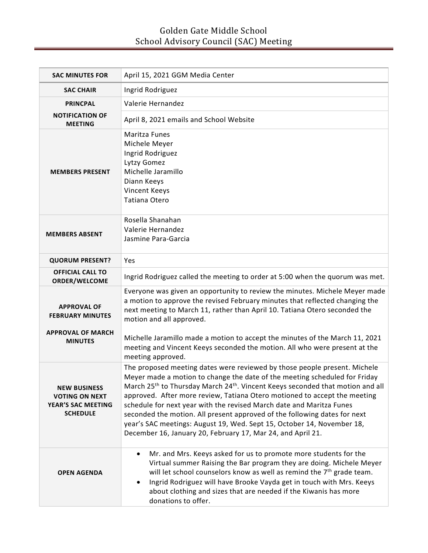| <b>SAC MINUTES FOR</b>                                                                       | April 15, 2021 GGM Media Center                                                                                                                                                                                                                                                                                                                                                                                                                                                                                                                                                                                                              |
|----------------------------------------------------------------------------------------------|----------------------------------------------------------------------------------------------------------------------------------------------------------------------------------------------------------------------------------------------------------------------------------------------------------------------------------------------------------------------------------------------------------------------------------------------------------------------------------------------------------------------------------------------------------------------------------------------------------------------------------------------|
| <b>SAC CHAIR</b>                                                                             | Ingrid Rodriguez                                                                                                                                                                                                                                                                                                                                                                                                                                                                                                                                                                                                                             |
| <b>PRINCPAL</b>                                                                              | Valerie Hernandez                                                                                                                                                                                                                                                                                                                                                                                                                                                                                                                                                                                                                            |
| <b>NOTIFICATION OF</b><br><b>MEETING</b>                                                     | April 8, 2021 emails and School Website                                                                                                                                                                                                                                                                                                                                                                                                                                                                                                                                                                                                      |
| <b>MEMBERS PRESENT</b>                                                                       | Maritza Funes<br>Michele Meyer<br>Ingrid Rodriguez<br>Lytzy Gomez<br>Michelle Jaramillo<br>Diann Keeys<br>Vincent Keeys<br>Tatiana Otero                                                                                                                                                                                                                                                                                                                                                                                                                                                                                                     |
| <b>MEMBERS ABSENT</b>                                                                        | Rosella Shanahan<br>Valerie Hernandez<br>Jasmine Para-Garcia                                                                                                                                                                                                                                                                                                                                                                                                                                                                                                                                                                                 |
| <b>QUORUM PRESENT?</b>                                                                       | Yes                                                                                                                                                                                                                                                                                                                                                                                                                                                                                                                                                                                                                                          |
| <b>OFFICIAL CALL TO</b><br>ORDER/WELCOME                                                     | Ingrid Rodriguez called the meeting to order at 5:00 when the quorum was met.                                                                                                                                                                                                                                                                                                                                                                                                                                                                                                                                                                |
| <b>APPROVAL OF</b><br><b>FEBRUARY MINUTES</b><br><b>APPROVAL OF MARCH</b><br><b>MINUTES</b>  | Everyone was given an opportunity to review the minutes. Michele Meyer made<br>a motion to approve the revised February minutes that reflected changing the<br>next meeting to March 11, rather than April 10. Tatiana Otero seconded the<br>motion and all approved.<br>Michelle Jaramillo made a motion to accept the minutes of the March 11, 2021<br>meeting and Vincent Keeys seconded the motion. All who were present at the<br>meeting approved.                                                                                                                                                                                     |
| <b>NEW BUSINESS</b><br><b>VOTING ON NEXT</b><br><b>YEAR'S SAC MEETING</b><br><b>SCHEDULE</b> | The proposed meeting dates were reviewed by those people present. Michele<br>Meyer made a motion to change the date of the meeting scheduled for Friday<br>March 25 <sup>th</sup> to Thursday March 24 <sup>th</sup> . Vincent Keeys seconded that motion and all<br>approved. After more review, Tatiana Otero motioned to accept the meeting<br>schedule for next year with the revised March date and Maritza Funes<br>seconded the motion. All present approved of the following dates for next<br>year's SAC meetings: August 19, Wed. Sept 15, October 14, November 18,<br>December 16, January 20, February 17, Mar 24, and April 21. |
| <b>OPEN AGENDA</b>                                                                           | Mr. and Mrs. Keeys asked for us to promote more students for the<br>Virtual summer Raising the Bar program they are doing. Michele Meyer<br>will let school counselors know as well as remind the 7 <sup>th</sup> grade team.<br>Ingrid Rodriguez will have Brooke Vayda get in touch with Mrs. Keeys<br>about clothing and sizes that are needed if the Kiwanis has more<br>donations to offer.                                                                                                                                                                                                                                             |